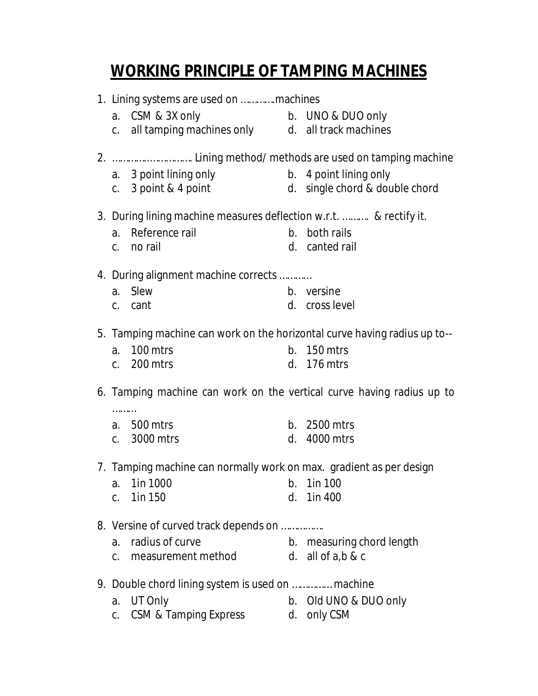## **WORKING PRINCIPLE OF TAMPING MACHINES**

| 1. Lining systems are used on machines |                                                                                          |    |                                |  |  |
|----------------------------------------|------------------------------------------------------------------------------------------|----|--------------------------------|--|--|
|                                        |                                                                                          |    |                                |  |  |
|                                        | a. CSM & 3X only b. UNO & DUO only<br>c. all tamping machines only d. all track machines |    |                                |  |  |
|                                        |                                                                                          |    |                                |  |  |
|                                        |                                                                                          |    |                                |  |  |
|                                        | a. 3 point lining only                                                                   |    | b. 4 point lining only         |  |  |
|                                        | c. 3 point & 4 point                                                                     |    | d. single chord & double chord |  |  |
|                                        | 3. During lining machine measures deflection w.r.t.  & rectify it.                       |    |                                |  |  |
| a.                                     | Reference rail                                                                           |    | b. both rails                  |  |  |
|                                        | c. no rail                                                                               |    | d. canted rail                 |  |  |
|                                        |                                                                                          |    |                                |  |  |
|                                        | 4. During alignment machine corrects                                                     |    |                                |  |  |
| a.                                     | Slew                                                                                     |    | b. versine                     |  |  |
|                                        | c. cant                                                                                  |    | d. cross level                 |  |  |
|                                        | 5. Tamping machine can work on the horizontal curve having radius up to--                |    |                                |  |  |
| a.                                     | 100 mtrs                                                                                 |    | $b.$ 150 mtrs                  |  |  |
|                                        | c. 200 mtrs                                                                              |    | d. 176 mtrs                    |  |  |
| .                                      | 6. Tamping machine can work on the vertical curve having radius up to                    |    |                                |  |  |
|                                        | a. 500 mtrs                                                                              |    | b. 2500 mtrs                   |  |  |
|                                        | c. 3000 mtrs                                                                             | d. | 4000 mtrs                      |  |  |
|                                        |                                                                                          |    |                                |  |  |
|                                        | 7. Tamping machine can normally work on max. gradient as per design                      |    |                                |  |  |
|                                        | $b. 1$ in 100<br>a. 1in 1000                                                             |    |                                |  |  |
| C.                                     | 1in 150                                                                                  |    | d. 1in 400                     |  |  |
|                                        | 8. Versine of curved track depends on                                                    |    |                                |  |  |
| a.                                     | radius of curve                                                                          |    | b. measuring chord length      |  |  |
| C.                                     | measurement method                                                                       |    | d. all of $a, b, \& c$         |  |  |
|                                        |                                                                                          |    |                                |  |  |
|                                        | 9. Double chord lining system is used on  machine                                        |    |                                |  |  |
| a.                                     | UT Only                                                                                  |    | b. Old UNO & DUO only          |  |  |
| C.                                     | CSM & Tamping Express                                                                    |    | d. only CSM                    |  |  |
|                                        |                                                                                          |    |                                |  |  |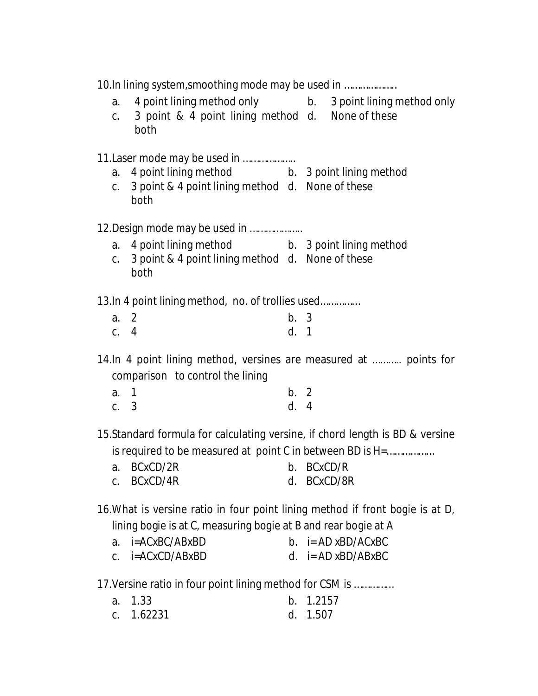|        | 10.In lining system, smoothing mode may be used in                                                                                                                                                                                                                                               |      |                       |
|--------|--------------------------------------------------------------------------------------------------------------------------------------------------------------------------------------------------------------------------------------------------------------------------------------------------|------|-----------------------|
| a.     | 4 point lining method only b. 3 point lining method only                                                                                                                                                                                                                                         |      |                       |
| C.     | 3 point & 4 point lining method d. None of these<br>both                                                                                                                                                                                                                                         |      |                       |
|        | 11. Laser mode may be used in                                                                                                                                                                                                                                                                    |      |                       |
| a.     | 4 point lining method b. 3 point lining method                                                                                                                                                                                                                                                   |      |                       |
|        | c. 3 point & 4 point lining method d. None of these<br>both                                                                                                                                                                                                                                      |      |                       |
|        | 12. Design mode may be used in                                                                                                                                                                                                                                                                   |      |                       |
|        | a. 4 point lining method b. 3 point lining method                                                                                                                                                                                                                                                |      |                       |
| C.     | 3 point & 4 point lining method d. None of these<br>both                                                                                                                                                                                                                                         |      |                       |
|        | 13. In 4 point lining method, no. of trollies used                                                                                                                                                                                                                                               |      |                       |
| a. 2   |                                                                                                                                                                                                                                                                                                  | b. 3 |                       |
| c. $4$ |                                                                                                                                                                                                                                                                                                  | d. 1 |                       |
|        | 14.In 4 point lining method, versines are measured at  points for<br>comparison to control the lining                                                                                                                                                                                            |      |                       |
| a. 1   |                                                                                                                                                                                                                                                                                                  | b. 2 |                       |
| c. 3   |                                                                                                                                                                                                                                                                                                  | d. 4 |                       |
|        | 15. Standard formula for calculating versine, if chord length is BD & versine                                                                                                                                                                                                                    |      |                       |
|        | is required to be measured at point C in between BD is H=<br><b>Example 1</b> Server 2 to 2 and 2 Server 2 and 2 and 2 and 2 and 2 and 2 and 2 and 2 and 2 and 2 and 2 and 2 and 2 and 2 and 2 and 2 and 2 and 2 and 2 and 2 and 2 and 2 and 2 and 2 and 2 and 2 and 2 and 2 and 2 and 2 and 2 a |      |                       |
|        | a. BCxCD/2R<br>BCxCD/4R                                                                                                                                                                                                                                                                          |      | d. BCxCD/8R           |
| C.     |                                                                                                                                                                                                                                                                                                  |      |                       |
|        | 16. What is versine ratio in four point lining method if front bogie is at D,                                                                                                                                                                                                                    |      |                       |
|        | lining bogie is at C, measuring bogie at B and rear bogie at A                                                                                                                                                                                                                                   |      |                       |
| a.     | i=ACxBC/ABxBD                                                                                                                                                                                                                                                                                    |      | b. $i = AD xBD/ACxBC$ |
| C.     | i=ACxCD/ABxBD                                                                                                                                                                                                                                                                                    | d.   | i= AD xBD/ABxBC       |

17.Versine ratio in four point lining method for CSM is ……………

| a. 1.33    | b. 1.2157 |
|------------|-----------|
| c. 1.62231 | d. 1.507  |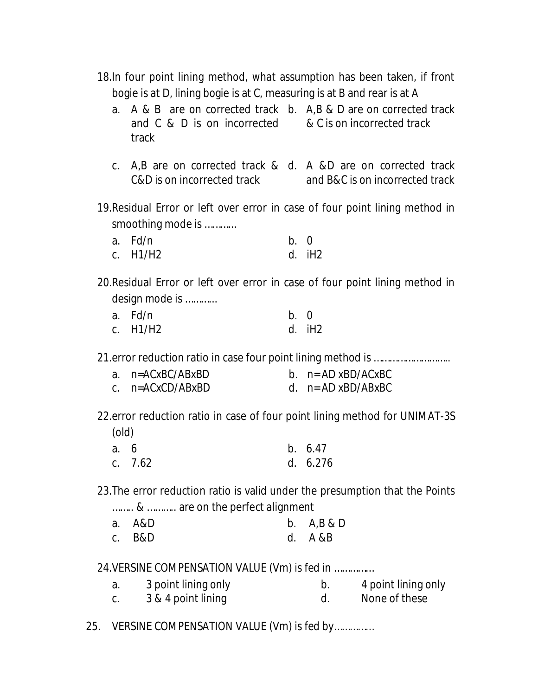18.In four point lining method, what assumption has been taken, if front bogie is at D, lining bogie is at C, measuring is at B and rear is at A

- a. A & B are on corrected track b. A,B & D are on corrected track and C & D is on incorrected & C is on incorrected track track
- c. A,B are on corrected track & d. A &D are on corrected track C&D is on incorrected track and B&C is on incorrected track
- 19.Residual Error or left over error in case of four point lining method in smoothing mode is ………...

| a. Fd/n  | b. 0 |          |
|----------|------|----------|
| c. H1/H2 |      | $d.$ iH2 |

20.Residual Error or left over error in case of four point lining method in design mode is ………...

| a. Fd/n    | b. 0 |        |
|------------|------|--------|
| c. $H1/H2$ |      | d. iH2 |

21.error reduction ratio in case four point lining method is ………………………..

| a. n=ACxBC/ABxBD     | b. $n = AD xBD/ACxBC$ |
|----------------------|-----------------------|
| c. $n = ACxCD/ABxBD$ | d. $n = AD xBD/ABxBC$ |

22.error reduction ratio in case of four point lining method for UNIMAT-3S (old)

| a. 6 |           | b. 6.47    |
|------|-----------|------------|
|      | c. $7.62$ | d. $6.276$ |

23.The error reduction ratio is valid under the presumption that the Points

| &  are on the perfect alignment |  |  |
|---------------------------------|--|--|
|                                 |  |  |

| a. A&D   | b. $A,B & D$ |
|----------|--------------|
| $c.$ B&D | d. A &B      |

24.VERSINE COMPENSATION VALUE (Vm) is fed in ……………

| 3 point lining only | 4 point lining only |
|---------------------|---------------------|
| 3 & 4 point lining  | None of these       |

25. VERSINE COMPENSATION VALUE (Vm) is fed by……………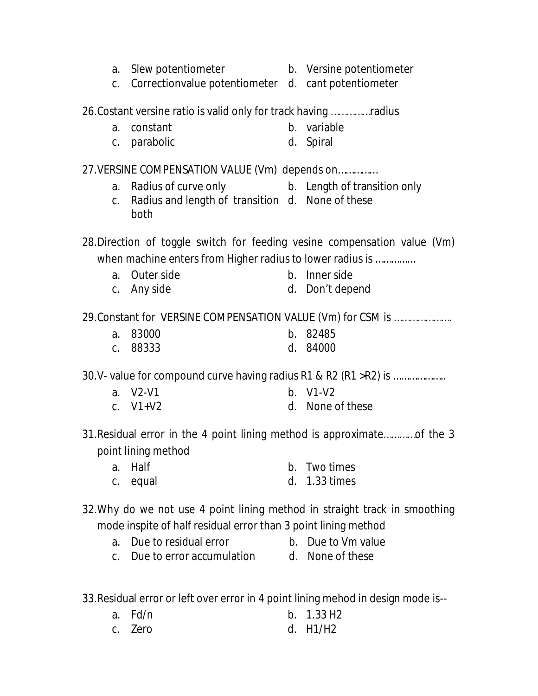- a. Slew potentiometer b. Versine potentiometer
- c. Correctionvalue potentiometer d. cant potentiometer

26.Costant versine ratio is valid only for track having ……………radius

- a. constant b. variable
- c. parabolic d. Spiral

## 27.VERSINE COMPENSATION VALUE (Vm) depends on……………

- a. Radius of curve only b. Length of transition only
- c. Radius and length of transition d. None of these both

28.Direction of toggle switch for feeding vesine compensation value (Vm) when machine enters from Higher radius to lower radius is ……………

- a. Outer side b. Inner side
- c. Any side d. Don't depend

29.Constant for VERSINE COMPENSATION VALUE (Vm) for CSM is ………………….

- a. 83000 b. 82485
- c. 88333 d. 84000

30.V- value for compound curve having radius R1 & R2 (R1 >R2) is ………………..

- a. V2-V1 b. V1-V2
- c. V1+V2 d. None of these
- 31.Residual error in the 4 point lining method is approximate…………of the 3 point lining method
	- a. Half b. Two times
	- c. equal d. 1.33 times
- 32.Why do we not use 4 point lining method in straight track in smoothing mode inspite of half residual error than 3 point lining method
	- a. Due to residual error b. Due to Vm value
	- c. Due to error accumulation d. None of these

33.Residual error or left over error in 4 point lining mehod in design mode is--

a. Fd/n b. 1.33 H2 c. Zero d. H1/H2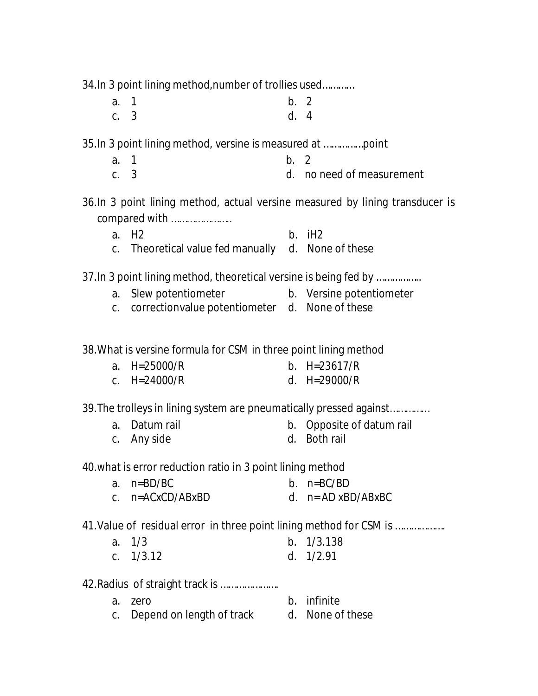34.In 3 point lining method,number of trollies used…………

| a. 1 | b. 2 |  |
|------|------|--|
| c. 3 | d. 4 |  |

35.In 3 point lining method, versine is measured at ……………point

- a. 1 b. 2
- c. 3 d. no need of measurement
- 36.In 3 point lining method, actual versine measured by lining transducer is compared with …………………..
	- a. H2 b. iH2 c. Theoretical value fed manually d. None of these

37.In 3 point lining method, theoretical versine is being fed by ……………..

- a. Slew potentiometer b. Versine potentiometer
- c. correctionvalue potentiometer d. None of these

38.What is versine formula for CSM in three point lining method

- a. H=25000/R b. H=23617/R
- c. H=24000/R d. H=29000/R

39.The trolleys in lining system are pneumatically pressed against……………

- a. Datum rail b. Opposite of datum rail
- c. Any side d. Both rail

40.what is error reduction ratio in 3 point lining method

- a. n=BD/BC b. n=BC/BD
- c. n=ACxCD/ABxBD d. n= AD xBD/ABxBC

41.Value of residual error in three point lining method for CSM is ……………….

- a. 1/3 b. 1/3.138
- c. 1/3.12 d. 1/2.91

42.Radius of straight track is ………………….

- a. zero b. infinite
- c. Depend on length of track d. None of these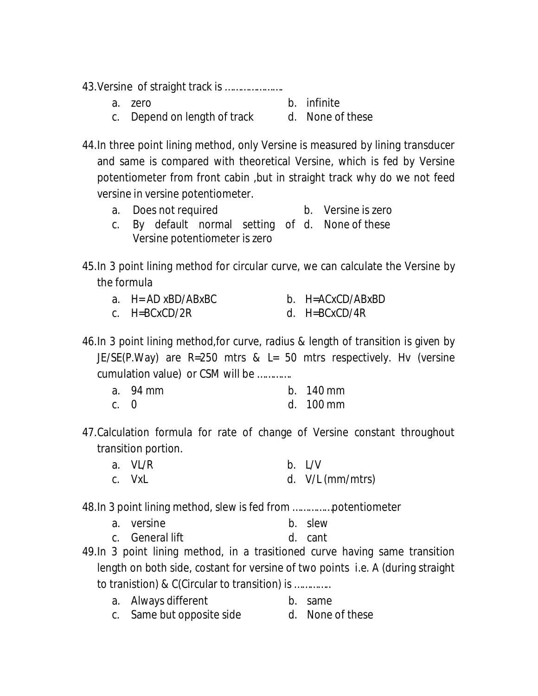43.Versine of straight track is ………………….

| a. zero | b. infinite |  |
|---------|-------------|--|
|         |             |  |

c. Depend on length of track d. None of these

44.In three point lining method, only Versine is measured by lining transducer and same is compared with theoretical Versine, which is fed by Versine potentiometer from front cabin ,but in straight track why do we not feed versine in versine potentiometer.

- a. Does not required b. Versine is zero
- c. By default normal setting of d. None of these Versine potentiometer is zero

45.In 3 point lining method for circular curve, we can calculate the Versine by the formula

- a.  $H = AD \times BD/AB \times BC$  b.  $H = AC \times CD/AB \times BD$
- c. H=BCxCD/2R d. H=BCxCD/4R

46.In 3 point lining method,for curve, radius & length of transition is given by JE/SE(P.Way) are R=250 mtrs & L= 50 mtrs respectively. Hv (versine cumulation value) or CSM will be ………….

|            | a. 94 mm | $b.$ 140 mm          |
|------------|----------|----------------------|
| <u>← ∩</u> |          | $d = 100 \text{ mm}$ |

- c. 0 d. 100 mm
- 47.Calculation formula for rate of change of Versine constant throughout transition portion.
	- a. VL/R b. L/V c. VxL d. V/L (mm/mtrs)

48.In 3 point lining method, slew is fed from ……………potentiometer

- a. versine b. slew
- c. General lift d. cant
- 49.In 3 point lining method, in a trasitioned curve having same transition length on both side, costant for versine of two points i.e. A (during straight to tranistion) & C(Circular to transition) is …………..
	- a. Always different b. same
	- c. Same but opposite side d. None of these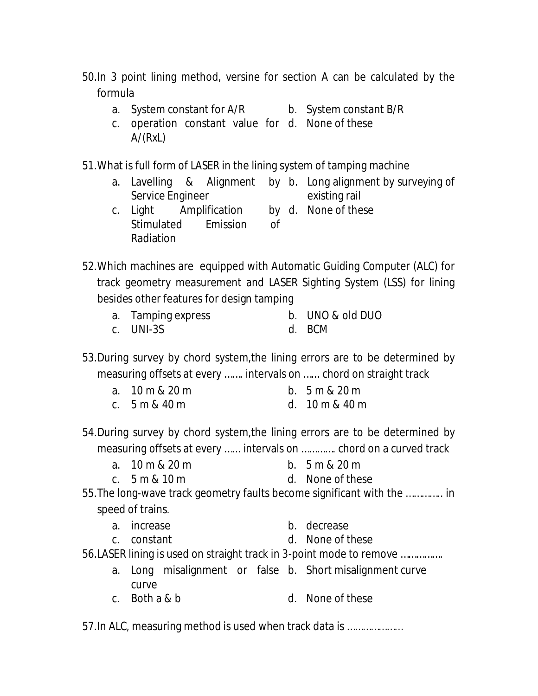50.In 3 point lining method, versine for section A can be calculated by the formula

- a. System constant for A/R b. System constant B/R
- c. operation constant value for d. None of these A/(RxL)

51.What is full form of LASER in the lining system of tamping machine

- a. Lavelling & Alignment by b. Long alignment by surveying of Service Engineer existing rail
- c. Light Amplification Stimulated Emission of Radiation d. None of these
- 52.Which machines are equipped with Automatic Guiding Computer (ALC) for track geometry measurement and LASER Sighting System (LSS) for lining besides other features for design tamping
	- a. Tamping express b. UNO & old DUO c. UNI-3S d. BCM
- 53.During survey by chord system,the lining errors are to be determined by measuring offsets at every ……. intervals on …... chord on straight track
	- a. 10 m & 20 m b. 5 m & 20 m
	- c. 5 m & 40 m d. 10 m & 40 m
- 54.During survey by chord system,the lining errors are to be determined by measuring offsets at every …... intervals on …………. chord on a curved track
	- a. 10 m & 20 m b. 5 m & 20 m
	- c. 5 m & 10 m d. None of these

55.The long-wave track geometry faults become significant with the ………….. in speed of trains.

- a. increase b. decrease
- c. constant d. None of these
- 56.LASER lining is used on straight track in 3-point mode to remove …………….
	- a. Long misalignment or false b. Short misalignment curve curve
	- c. Both a & b d. None of these

57.In ALC, measuring method is used when track data is …………………

- 
- 
- 
- 
- 
- 
-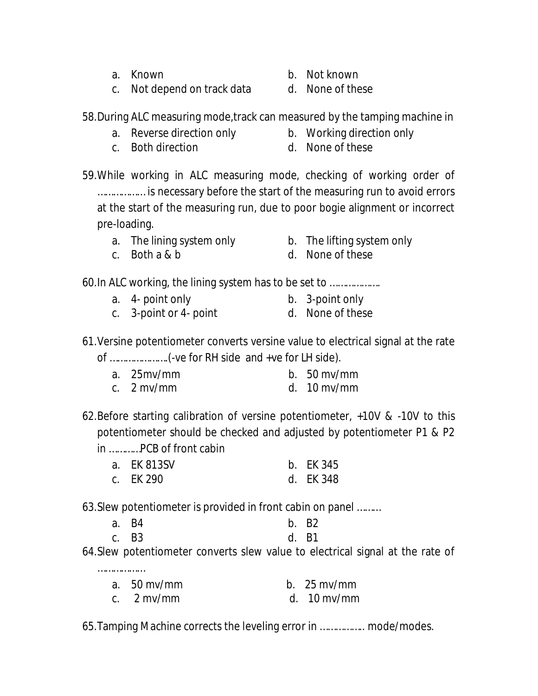a. Known b. Not known

c. Not depend on track data d. None of these

58.During ALC measuring mode,track can measured by the tamping machine in

- 
- a. Reverse direction only b. Working direction only
- c. Both direction d. None of these

59.While working in ALC measuring mode, checking of working order of ……………… is necessary before the start of the measuring run to avoid errors at the start of the measuring run, due to poor bogie alignment or incorrect pre-loading.

- a. The lining system only b. The lifting system only
- c. Both a & b d. None of these
- 
- 

60.In ALC working, the lining system has to be set to ……………….

- a. 4- point only b. 3-point only
- c. 3-point or 4- point d. None of these

61.Versine potentiometer converts versine value to electrical signal at the rate of ………………….(-ve for RH side and +ve for LH side).

- a. 25mv/mm b. 50 mv/mm
- c. 2 mv/mm d. 10 mv/mm

62.Before starting calibration of versine potentiometer, +10V & -10V to this potentiometer should be checked and adjusted by potentiometer P1 & P2

in …………PCB of front cabin

…………………

| a. EK 813SV | b. EK 345 |
|-------------|-----------|
| c. EK 290   | d. EK 348 |

63.Slew potentiometer is provided in front cabin on panel ………

| a. B4 |       | b. B2 |
|-------|-------|-------|
|       | c. B3 | d. B1 |

64.Slew potentiometer converts slew value to electrical signal at the rate of

| a. $50 \text{ mv/mm}$ | b. $25 \text{ mv/mm}$ |
|-----------------------|-----------------------|
| c. $2 \text{mv/mm}$   | d. $10 \text{ mv/mm}$ |

65.Tamping Machine corrects the leveling error in …………….. mode/modes.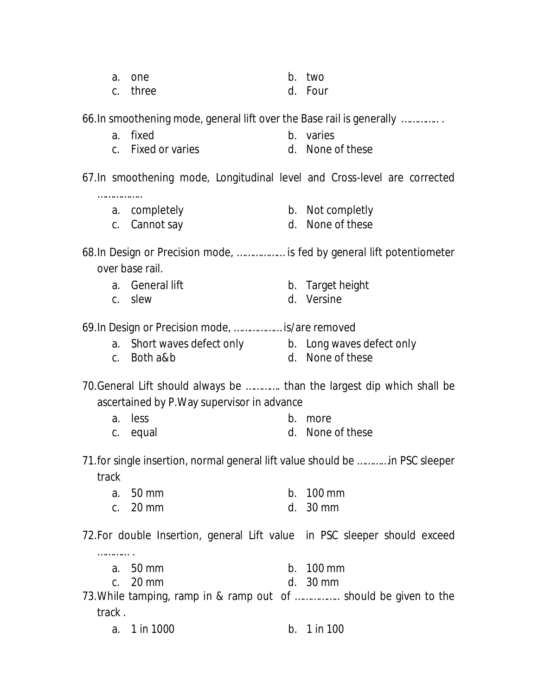| a. one | b. two |
|--------|--------|
|        |        |

c. three d. Four

66.In smoothening mode, general lift over the Base rail is generally ………….. .

- a. fixed b. varies
- c. Fixed or varies held can be a set of these

67.In smoothening mode, Longitudinal level and Cross-level are corrected

- ………………
	- a. completely b. Not completly
	- c. Cannot say d. None of these

68.In Design or Precision mode, ……………… is fed by general lift potentiometer over base rail.

- 
- 

……………

- a. General lift b. Target height
- c. slew d. Versine

69.In Design or Precision mode, ……………… is/are removed

- a. Short waves defect only b. Long waves defect only
	-
- c. Both a&b d. None of these

70.General Lift should always be …………. than the largest dip which shall be ascertained by P.Way supervisor in advance

- a. less b. more c. equal d. None of these
- 71.for single insertion, normal general lift value should be …………in PSC sleeper track
	- a. 50 mm b. 100 mm c. 20 mm d. 30 mm

72.For double Insertion, general Lift value in PSC sleeper should exceed

- a. 50 mm b. 100 mm
- c. 20 mm d. 30 mm

73.While tamping, ramp in & ramp out of …………….. should be given to the track .

a. 1 in 1000 b. 1 in 100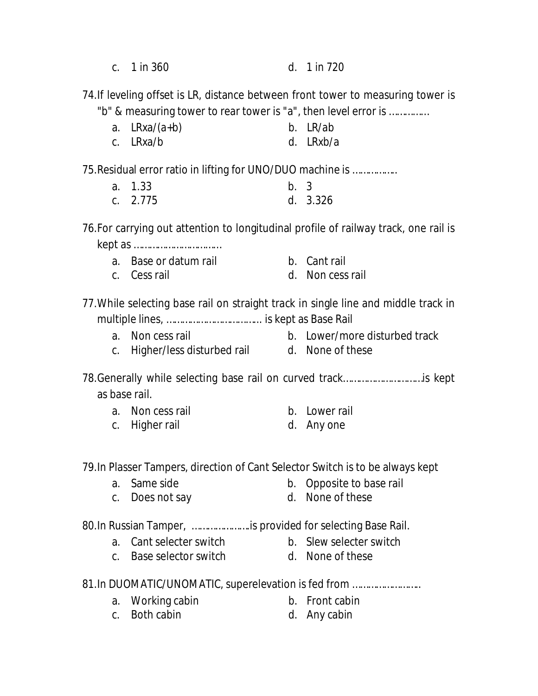| c. 1 in 360 |  | d. 1 in 720 |
|-------------|--|-------------|
|-------------|--|-------------|

74.If leveling offset is LR, distance between front tower to measuring tower is "b" & measuring tower to rear tower is "a", then level error is ……………

| a. $LRxa/(a+b)$ | b. LR/ab  |
|-----------------|-----------|
| c. LRxa/b       | d. LRxb/a |

75.Residual error ratio in lifting for UNO/DUO machine is ……………..

| a. 1.33    | b.3 |          |
|------------|-----|----------|
| c. $2.775$ |     | d. 3.326 |

76.For carrying out attention to longitudinal profile of railway track, one rail is kept as ……………………………

- a. Base or datum rail b. Cant rail
- 
- c. Cess rail d. Non cess rail

77.While selecting base rail on straight track in single line and middle track in multiple lines, ……………………………... is kept as Base Rail

- a. Non cess rail b. Lower/more disturbed track
- c. Higher/less disturbed rail d. None of these

78.Generally while selecting base rail on curved track…………………………is kept as base rail.

- a. Non cess rail b. Lower rail
- c. Higher rail and the state of the d. Any one

79.In Plasser Tampers, direction of Cant Selector Switch is to be always kept

- a. Same side b. Opposite to base rail
- c. Does not say d. None of these

80.In Russian Tamper, ………………….is provided for selecting Base Rail.

- a. Cant selecter switch b. Slew selecter switch
- 
- c. Base selector switch d. None of these
- 

81.In DUOMATIC/UNOMATIC, superelevation is fed from ……………………..

- a. Working cabin b. Front cabin
	-
- c. Both cabin d. Any cabin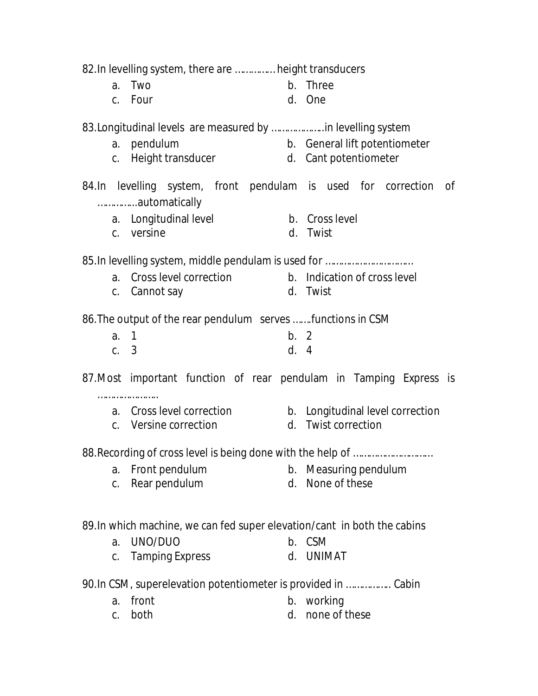82.In levelling system, there are …………… height transducers a. Two b. Three c. Four d. One 83.Longitudinal levels are measured by ………………..in levelling system a. pendulum b. General lift potentiometer c. Height transducer d. Cant potentiometer 84.In levelling system, front pendulam is used for correction of …………...automatically a. Longitudinal level b. Cross level c. versine d. Twist 85.In levelling system, middle pendulam is used for …………………………… a. Cross level correction b. Indication of cross level c. Cannot say d. Twist 86.The output of the rear pendulum serves …….functions in CSM a. 1 b. 2 c. 3 d. 4 87.Most important function of rear pendulam in Tamping Express is ……………………… a. Cross level correction b. Longitudinal level correction c. Versine correction d. Twist correction 88.Recording of cross level is being done with the help of ………………………… a. Front pendulum b. Measuring pendulum c. Rear pendulum d. None of these 89.In which machine, we can fed super elevation/cant in both the cabins a. UNO/DUO b. CSM c. Tamping Express d. UNIMAT 90.In CSM, superelevation potentiometer is provided in …………….. Cabin a. front b. working c. both d. none of these